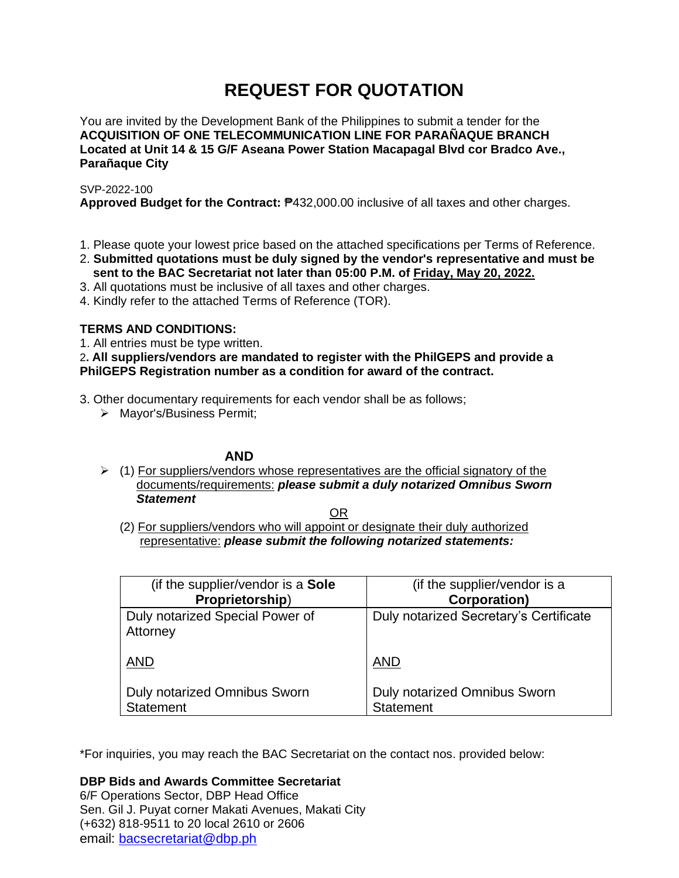# **REQUEST FOR QUOTATION**

You are invited by the Development Bank of the Philippines to submit a tender for the **ACQUISITION OF ONE TELECOMMUNICATION LINE FOR PARAÑAQUE BRANCH Located at Unit 14 & 15 G/F Aseana Power Station Macapagal Blvd cor Bradco Ave., Parañaque City**

SVP-2022-100

**Approved Budget for the Contract:** ₱432,000.00 inclusive of all taxes and other charges.

- 1. Please quote your lowest price based on the attached specifications per Terms of Reference.
- 2. **Submitted quotations must be duly signed by the vendor's representative and must be sent to the BAC Secretariat not later than 05:00 P.M. of Friday, May 20, 2022.**
- 3. All quotations must be inclusive of all taxes and other charges.
- 4. Kindly refer to the attached Terms of Reference (TOR).

# **TERMS AND CONDITIONS:**

1. All entries must be type written.

2**. All suppliers/vendors are mandated to register with the PhilGEPS and provide a PhilGEPS Registration number as a condition for award of the contract.**

3. Other documentary requirements for each vendor shall be as follows;

➢ Mayor's/Business Permit;

# **AND**

 $\geq$  (1) For suppliers/vendors whose representatives are the official signatory of the documents/requirements: *please submit a duly notarized Omnibus Sworn Statement*

<u>OR Starting and the Starting OR Starting</u>

(2) For suppliers/vendors who will appoint or designate their duly authorized representative: *please submit the following notarized statements:*

| (if the supplier/vendor is a Sole           | (if the supplier/vendor is a           |
|---------------------------------------------|----------------------------------------|
| Proprietorship)                             | <b>Corporation)</b>                    |
| Duly notarized Special Power of<br>Attorney | Duly notarized Secretary's Certificate |
| <b>AND</b>                                  | <b>AND</b>                             |
| <b>Duly notarized Omnibus Sworn</b>         | <b>Duly notarized Omnibus Sworn</b>    |
| Statement                                   | <b>Statement</b>                       |

\*For inquiries, you may reach the BAC Secretariat on the contact nos. provided below:

**DBP Bids and Awards Committee Secretariat** 

6/F Operations Sector, DBP Head Office Sen. Gil J. Puyat corner Makati Avenues, Makati City (+632) 818-9511 to 20 local 2610 or 2606 email: [bacsecretariat@dbp.ph](mailto:bacsecretariat@dbp.ph)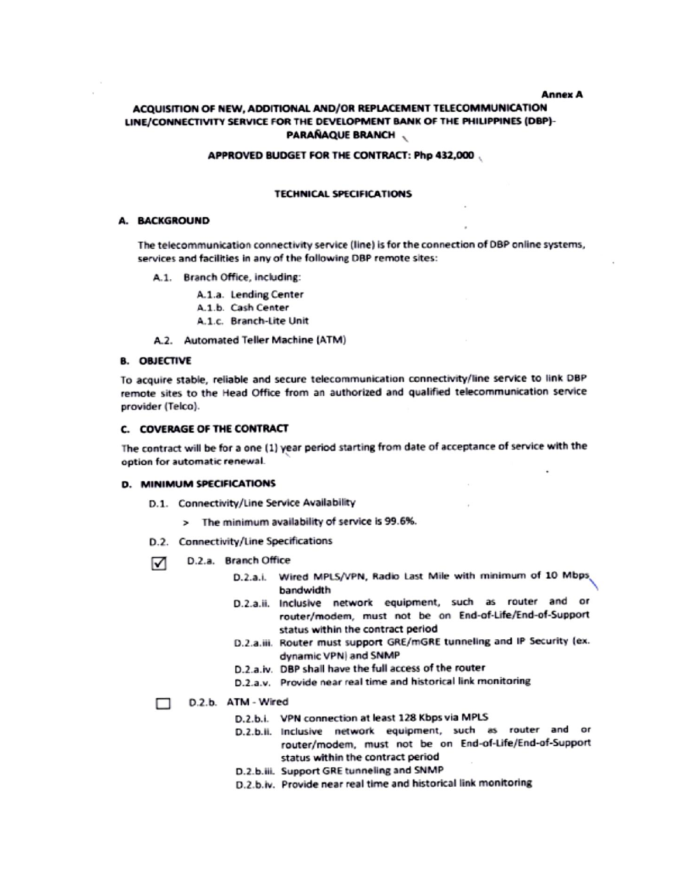**Annex A** 

# ACQUISITION OF NEW, ADDITIONAL AND/OR REPLACEMENT TELECOMMUNICATION LINE/CONNECTIVITY SERVICE FOR THE DEVELOPMENT BANK OF THE PHILIPPINES (DBP)-**PARAÑAQUE BRANCH**

#### APPROVED BUDGET FOR THE CONTRACT: Php 432,000

#### **TECHNICAL SPECIFICATIONS**

#### **A. BACKGROUND**

The telecommunication connectivity service (line) is for the connection of DBP online systems, services and facilities in any of the following DBP remote sites:

A.1. Branch Office, including:

A.1.a. Lending Center

- A.1.b. Cash Center
- A.1.c. Branch-Lite Unit
- A.2. Automated Teller Machine (ATM)

#### **B. OBJECTIVE**

To acquire stable, reliable and secure telecommunication connectivity/line service to link DBP remote sites to the Head Office from an authorized and qualified telecommunication service provider (Telco).

#### **C. COVERAGE OF THE CONTRACT**

The contract will be for a one (1) year period starting from date of acceptance of service with the option for automatic renewal.

#### **D. MINIMUM SPECIFICATIONS**

- D.1. Connectivity/Line Service Availability
	- > The minimum availability of service is 99.6%.
- D.2. Connectivity/Line Specifications
- D.2.a. Branch Office ☑
	- D.2.a.i. Wired MPLS/VPN, Radio Last Mile with minimum of 10 Mbps bandwidth
	- D.2.a.ii. Inclusive network equipment, such as router and or router/modem, must not be on End-of-Life/End-of-Support status within the contract period
	- D.2.a.iii. Router must support GRE/mGRE tunneling and IP Security (ex. dynamic VPN) and SNMP
	- D.2.a.iv. DBP shall have the full access of the router
	- D.2.a.v. Provide near real time and historical link monitoring

#### D.2.b. ATM - Wired

- D.2.b.i. VPN connection at least 128 Kbps via MPLS
- D.2.b.ii. Inclusive network equipment, such as router and or router/modem, must not be on End-of-Life/End-of-Support status within the contract period
- D.2.b.iii. Support GRE tunneling and SNMP
- D.2.b.iv. Provide near real time and historical link monitoring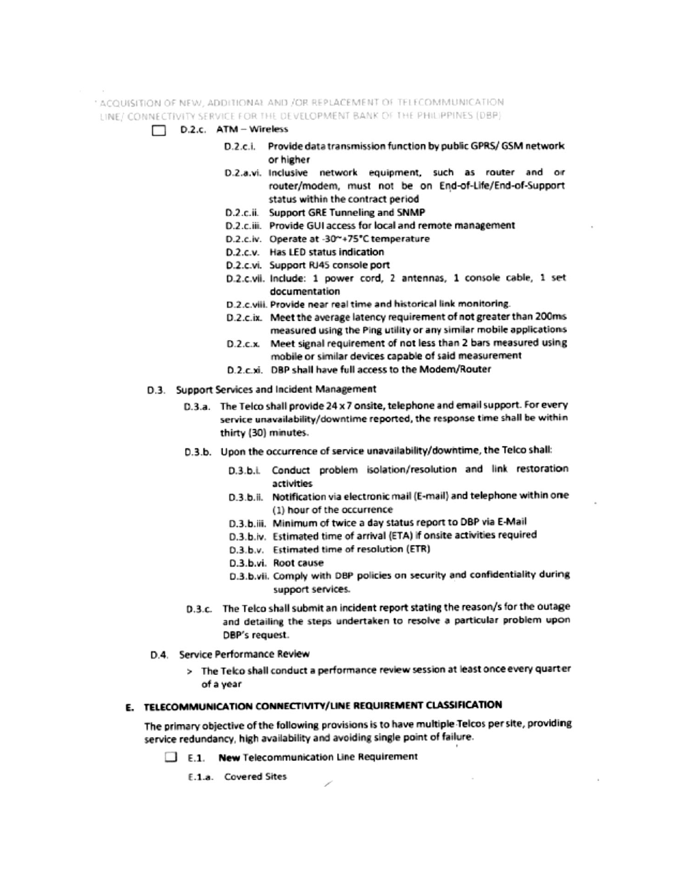: ACQUISITION OF NEW, ADDITIONAL AND /OR REPLACEMENT OF TELECOMMUNICATION LINE/ CONNECTIVITY SERVICE FOR THE DEVELOPMENT BANK OF THE PHILIPPINES (DBP)

#### D.2.c. ATM - Wireless ⊓

- D.2.c.i. Provide data transmission function by public GPRS/ GSM network or higher
- D.2.a.vi. Inclusive network equipment, such as router and or router/modem, must not be on End-of-Life/End-of-Support status within the contract period
- D.2.c.ii. Support GRE Tunneling and SNMP
- D.2.c.iii. Provide GUI access for local and remote management
- D.2.c.iv. Operate at -30~+75°C temperature
- D.2.c.v. Has LED status indication
- D.2.c.vi. Support RJ45 console port
- D.2.c.vii. Include: 1 power cord, 2 antennas, 1 console cable, 1 set documentation
- D.2.c.viii. Provide near real time and historical link monitoring.
- D.2.c.ix. Meet the average latency requirement of not greater than 200ms measured using the Ping utility or any similar mobile applications
- D.2.c.x. Meet signal requirement of not less than 2 bars measured using mobile or similar devices capable of said measurement
- D.2.c.xi. DBP shall have full access to the Modem/Router

### D.3. Support Services and Incident Management

- D.3.a. The Telco shall provide 24 x 7 onsite, telephone and email support. For every service unavailability/downtime reported, the response time shall be within thirty (30) minutes.
- D.3.b. Upon the occurrence of service unavailability/downtime, the Telco shall:
	- D.3.b.i. Conduct problem isolation/resolution and link restoration activities
	- D.3.b.ii. Notification via electronic mail (E-mail) and telephone within one (1) hour of the occurrence
	- D.3.b.iii. Minimum of twice a day status report to DBP via E-Mail
	- D.3.b.iv. Estimated time of arrival (ETA) if onsite activities required
	- D.3.b.v. Estimated time of resolution (ETR)
	- D.3.b.vi. Root cause
	- D.3.b.vii. Comply with DBP policies on security and confidentiality during support services.
- D.3.c. The Telco shall submit an incident report stating the reason/s for the outage and detailing the steps undertaken to resolve a particular problem upon DBP's request.
- D.4. Service Performance Review
	- > The Telco shall conduct a performance review session at least once every quarter of a year

### E. TELECOMMUNICATION CONNECTIVITY/LINE REQUIREMENT CLASSIFICATION

The primary objective of the following provisions is to have multiple Telcos per site, providing service redundancy, high availability and avoiding single point of failure.

E.1. New Telecommunication Line Requirement

E.1.a. Covered Sites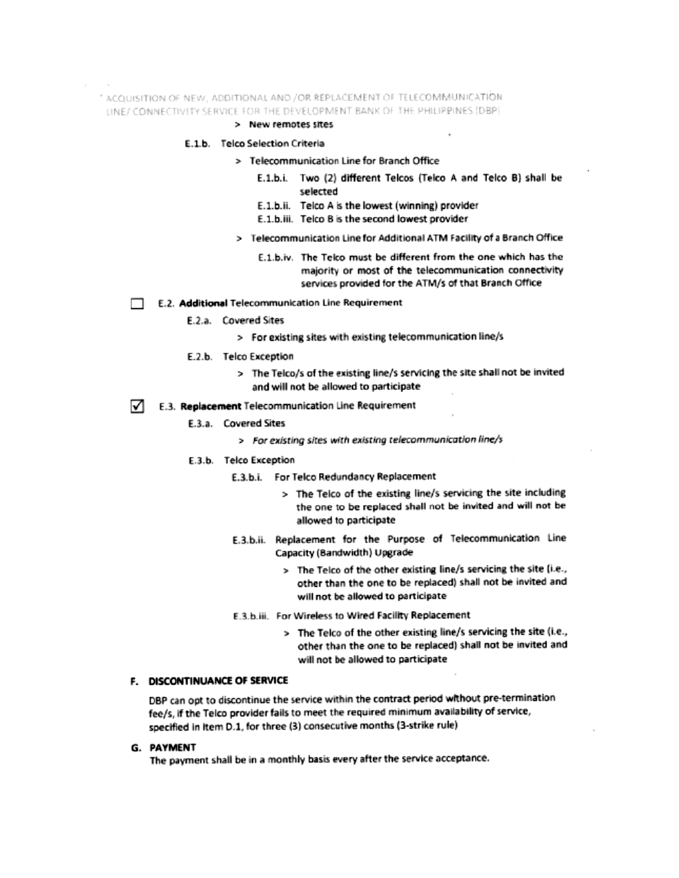" ACQUISITION OF NEW, ADDITIONAL AND /OR REPLACEMENT OF TELECOMMUNICATION LINE/ CONNECTIVITY SERVICE FOR THE DEVELOPMENT BANK OF THE PHILIPPINES [DBP]

### > New remotes sites

- E.1.b. Telco Selection Criteria
	- > Telecommunication Line for Branch Office
		- E.1.b.i. Two (2) different Telcos (Telco A and Telco B) shall be selected
		- E.1.b.ii. Telco A is the lowest (winning) provider
		- E.1.b.iii. Telco B is the second lowest provider
		- > Telecommunication Line for Additional ATM Facility of a Branch Office
			- E.1.b.iv. The Teko must be different from the one which has the majority or most of the telecommunication connectivity services provided for the ATM/s of that Branch Office
- E.2. Additional Telecommunication Line Requirement
	- E.2.a. Covered Sites
		- > For existing sites with existing telecommunication line/s
	- E.2.b. Telco Exception
		- > The Telco/s of the existing line/s servicing the site shall not be invited and will not be allowed to participate
- ⊺√ E.3. Replacement Telecommunication Line Requirement
	- E.3.a. Covered Sites
		- > For existing sites with existing telecommunication line/s
	- E.3.b. Telco Exception
		- E.3.b.i. For Telco Redundancy Replacement
			- > The Telco of the existing line/s servicing the site including the one to be replaced shall not be invited and will not be allowed to participate
		- E.3.b.ii. Replacement for the Purpose of Telecommunication Line Capacity (Bandwidth) Upgrade
			- > The Telco of the other existing line/s servicing the site (i.e., other than the one to be replaced) shall not be invited and will not be allowed to participate
		- E.3.b.iii. For Wireless to Wired Facility Replacement
			- > The Telco of the other existing line/s servicing the site (i.e., other than the one to be replaced) shall not be invited and will not be allowed to participate

#### F. DISCONTINUANCE OF SERVICE

DBP can opt to discontinue the service within the contract period without pre-termination fee/s, if the Telco provider fails to meet the required minimum availability of service, specified in item D.1, for three (3) consecutive months (3-strike rule)

#### G. PAYMENT

The payment shall be in a monthly basis every after the service acceptance.